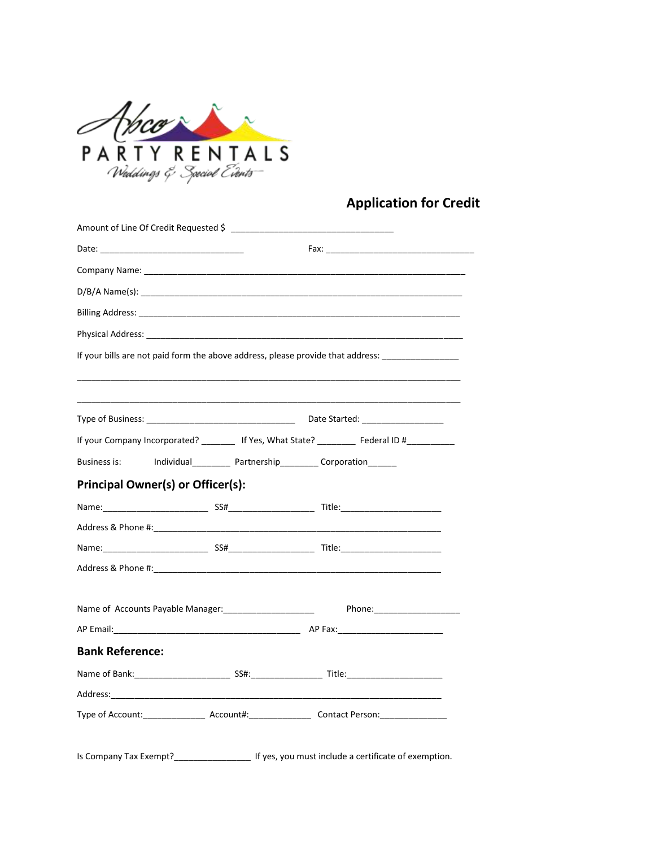

## **Application for Credit**

|                                                                                                                                                                                                                                |  | If your bills are not paid form the above address, please provide that address: ___________________ |  |  |
|--------------------------------------------------------------------------------------------------------------------------------------------------------------------------------------------------------------------------------|--|-----------------------------------------------------------------------------------------------------|--|--|
|                                                                                                                                                                                                                                |  |                                                                                                     |  |  |
|                                                                                                                                                                                                                                |  |                                                                                                     |  |  |
| Type of Business: The Contract of Business and Type of Business: The Contract of Business and Type of Business                                                                                                                 |  |                                                                                                     |  |  |
|                                                                                                                                                                                                                                |  | If your Company Incorporated? ________ If Yes, What State? ________ Federal ID #__________          |  |  |
| Business is: Individual__________ Partnership_________ Corporation_______                                                                                                                                                      |  |                                                                                                     |  |  |
| <b>Principal Owner(s) or Officer(s):</b>                                                                                                                                                                                       |  |                                                                                                     |  |  |
|                                                                                                                                                                                                                                |  |                                                                                                     |  |  |
| Address & Phone #: will be a state of the state of the state of the state of the state of the state of the state of the state of the state of the state of the state of the state of the state of the state of the state of th |  |                                                                                                     |  |  |
|                                                                                                                                                                                                                                |  |                                                                                                     |  |  |
|                                                                                                                                                                                                                                |  |                                                                                                     |  |  |
|                                                                                                                                                                                                                                |  |                                                                                                     |  |  |
|                                                                                                                                                                                                                                |  |                                                                                                     |  |  |
|                                                                                                                                                                                                                                |  |                                                                                                     |  |  |
| <b>Bank Reference:</b>                                                                                                                                                                                                         |  |                                                                                                     |  |  |
|                                                                                                                                                                                                                                |  |                                                                                                     |  |  |
|                                                                                                                                                                                                                                |  |                                                                                                     |  |  |
| Type of Account:_______________________Account#:_________________________________                                                                                                                                              |  |                                                                                                     |  |  |
|                                                                                                                                                                                                                                |  |                                                                                                     |  |  |
|                                                                                                                                                                                                                                |  | Is Company Tax Exempt?_____________________ If yes, you must include a certificate of exemption.    |  |  |